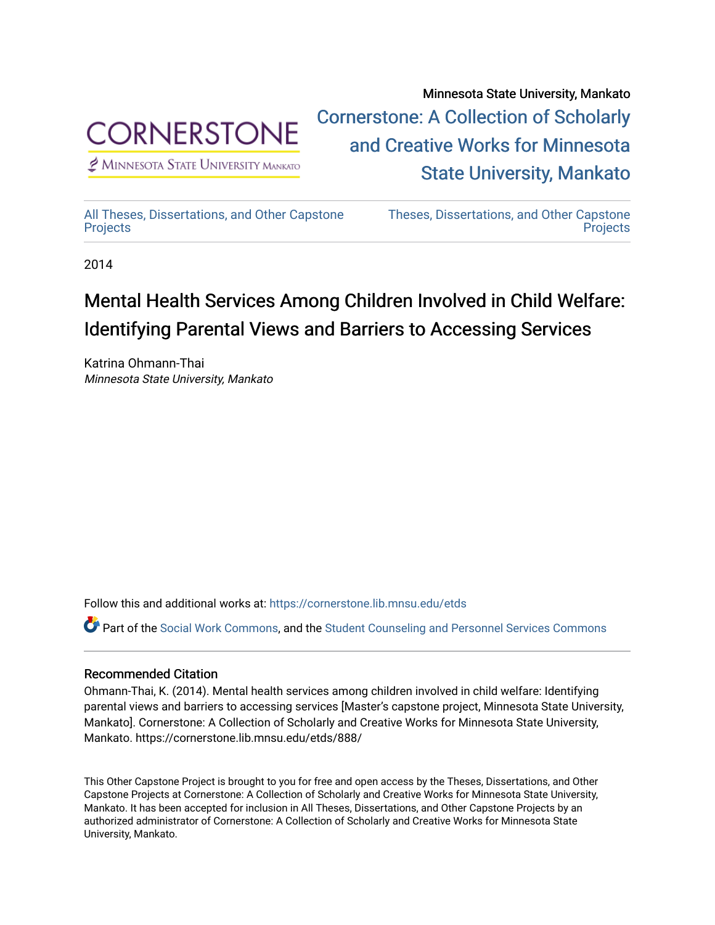

 $<sup>2</sup>$  Minnesota State University Mankato</sup>

Minnesota State University, Mankato [Cornerstone: A Collection of Scholarly](https://cornerstone.lib.mnsu.edu/)  [and Creative Works for Minnesota](https://cornerstone.lib.mnsu.edu/)  [State University, Mankato](https://cornerstone.lib.mnsu.edu/) 

[All Theses, Dissertations, and Other Capstone](https://cornerstone.lib.mnsu.edu/etds)  **[Projects](https://cornerstone.lib.mnsu.edu/etds)** 

[Theses, Dissertations, and Other Capstone](https://cornerstone.lib.mnsu.edu/theses_dissertations-capstone)  **Projects** 

2014

### Mental Health Services Among Children Involved in Child Welfare: Identifying Parental Views and Barriers to Accessing Services

Katrina Ohmann-Thai Minnesota State University, Mankato

Follow this and additional works at: [https://cornerstone.lib.mnsu.edu/etds](https://cornerstone.lib.mnsu.edu/etds?utm_source=cornerstone.lib.mnsu.edu%2Fetds%2F888&utm_medium=PDF&utm_campaign=PDFCoverPages) 

Part of the [Social Work Commons](http://network.bepress.com/hgg/discipline/713?utm_source=cornerstone.lib.mnsu.edu%2Fetds%2F888&utm_medium=PDF&utm_campaign=PDFCoverPages), and the [Student Counseling and Personnel Services Commons](http://network.bepress.com/hgg/discipline/802?utm_source=cornerstone.lib.mnsu.edu%2Fetds%2F888&utm_medium=PDF&utm_campaign=PDFCoverPages) 

### Recommended Citation

Ohmann-Thai, K. (2014). Mental health services among children involved in child welfare: Identifying parental views and barriers to accessing services [Master's capstone project, Minnesota State University, Mankato]. Cornerstone: A Collection of Scholarly and Creative Works for Minnesota State University, Mankato. https://cornerstone.lib.mnsu.edu/etds/888/

This Other Capstone Project is brought to you for free and open access by the Theses, Dissertations, and Other Capstone Projects at Cornerstone: A Collection of Scholarly and Creative Works for Minnesota State University, Mankato. It has been accepted for inclusion in All Theses, Dissertations, and Other Capstone Projects by an authorized administrator of Cornerstone: A Collection of Scholarly and Creative Works for Minnesota State University, Mankato.